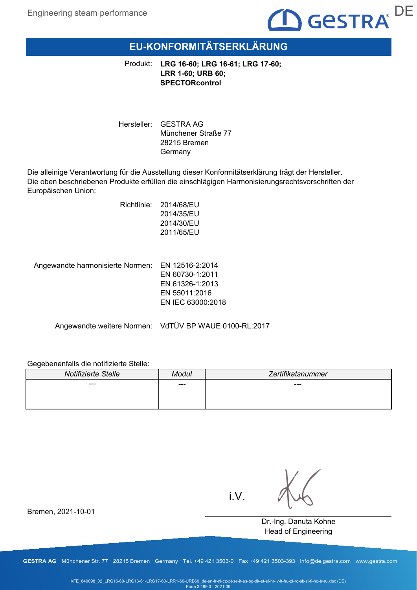

# **EU-KONFORMITÄTSERKLÄRUNG**

Produkt: **LRG 16-60; LRG 16-61; LRG 17-60; LRR 1-60; URB 60; SPECTORcontrol**

Hersteller: GESTRA AG Münchener Straße 77 28215 Bremen Germany

Die alleinige Verantwortung für die Ausstellung dieser Konformitätserklärung trägt der Hersteller. Die oben beschriebenen Produkte erfüllen die einschlägigen Harmonisierungsrechtsvorschriften der Europäischen Union:

> Richtlinie: 2014/68/EU 2014/35/EU 2014/30/EU 2011/65/EU

Angewandte harmonisierte Normen: EN 12516-2:2014

EN 60730-1:2011 EN 61326-1:2013 EN 55011:2016 EN IEC 63000:2018

Angewandte weitere Normen: VdTÜV BP WAUE 0100-RL:2017

### Gegebenenfalls die notifizierte Stelle:

| Notifizierte Stelle | Modul | Zertifikatsnummer |
|---------------------|-------|-------------------|
| ---                 | ---   | ---               |
|                     |       |                   |
|                     |       |                   |

i.V.

Dr.-Ing. Danuta Kohne Head of Engineering

Bremen, 2021-10-01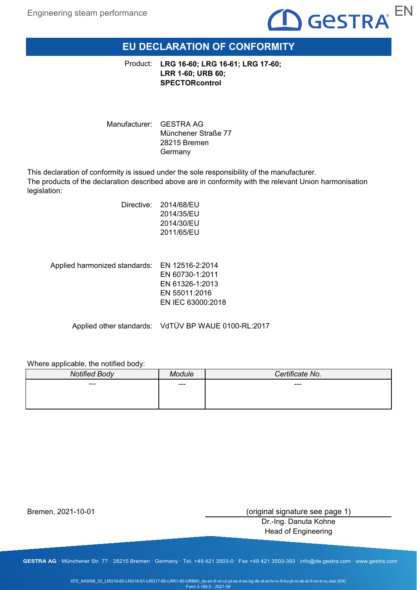

# **EU DECLARATION OF CONFORMITY**

**LRG 16-60; LRG 16-61; LRG 17-60;** Product: **LRR 1-60; URB 60; SPECTORcontrol**

Manufacturer: GESTRA AG Münchener Straße 77 28215 Bremen Germany

This declaration of conformity is issued under the sole responsibility of the manufacturer. The products of the declaration described above are in conformity with the relevant Union harmonisation legislation:

| Directive: | 2014/68/EU |
|------------|------------|
|            | 2014/35/EU |
|            | 2014/30/EU |
|            | 2011/65/EU |
|            |            |

Applied harmonized standards: EN 12516-2:2014 EN 60730-1:2011 EN 61326-1:2013 EN 55011:2016 EN IEC 63000:2018

Applied other standards: VdTÜV BP WAUE 0100-RL:2017

### Where applicable, the notified body:

| <b>Notified Body</b> | ndule | Certificate No. |
|----------------------|-------|-----------------|
| ---                  | ---   | $---$           |
|                      |       |                 |
|                      |       |                 |

Bremen, 2021-10-01

(original signature see page 1)

Dr.-Ing. Danuta Kohne Head of Engineering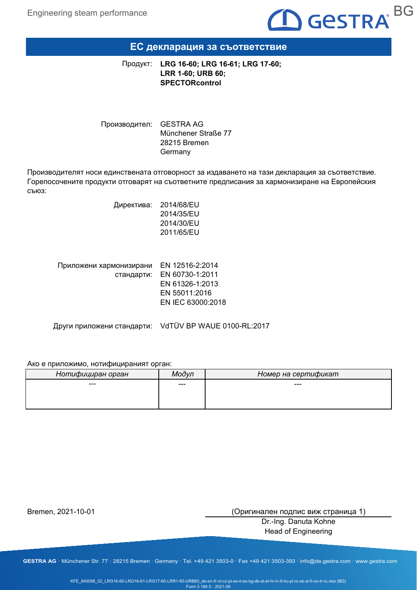

### **ЕС декларация за съответствие**

**LRG 16-60; LRG 16-61; LRG 17-60;** Продукт: **LRR 1-60; URB 60; SPECTORcontrol**

Производител: GESTRA AG Münchener Straße 77 28215 Bremen Germany

Производителят носи единствената отговорност за издаването на тази декларация за съответствие. Горепосочените продукти отговарят на съответните предписания за хармонизиране на Европейския съюз:

> Директива: 2014/68/EU 2014/35/EU 2014/30/EU 2011/65/EU

| Приложени хармонизирани | EN 12516-2:2014            |
|-------------------------|----------------------------|
|                         | стандарти: EN 60730-1:2011 |
|                         | EN 61326-1:2013            |
|                         | EN 55011:2016              |
|                         | EN IEC 63000:2018          |
|                         |                            |

Други приложени стандарти: VdTÜV BP WAUE 0100-RL:2017

### Ако е приложимо, нотифицираният орган:

| Нотифициран орган | Модvп | Номер на сертификат |
|-------------------|-------|---------------------|
| ---               | ---   | ---                 |
|                   |       |                     |
|                   |       |                     |

Bremen, 2021-10-01

(Оригинален подпис виж страница 1)

Dr.-Ing. Danuta Kohne Head of Engineering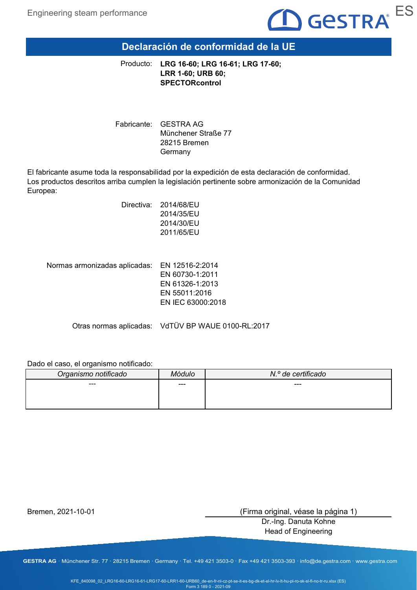

# **Declaración de conformidad de la UE**

**LRG 16-60; LRG 16-61; LRG 17-60;** Producto: **LRR 1-60; URB 60; SPECTORcontrol**

Fabricante: GESTRA AG Münchener Straße 77 28215 Bremen Germany

El fabricante asume toda la responsabilidad por la expedición de esta declaración de conformidad. Los productos descritos arriba cumplen la legislación pertinente sobre armonización de la Comunidad Europea:

| Directiva: | 2014/68/EU |
|------------|------------|
|            | 2014/35/EU |
|            | 2014/30/EU |
|            | 2011/65/EU |
|            |            |

EN 12516-2:2014 Normas armonizadas aplicadas:

EN 60730-1:2011 EN 61326-1:2013 EN 55011:2016 EN IEC 63000:2018

Otras normas aplicadas: VdTÜV BP WAUE 0100-RL:2017

### Dado el caso, el organismo notificado:

| Organismo notificado | Módulo | N.º de certificado |
|----------------------|--------|--------------------|
| ---                  | ---    | ---                |
|                      |        |                    |
|                      |        |                    |

Bremen, 2021-10-01

(Firma original, véase la página 1)

Dr.-Ing. Danuta Kohne Head of Engineering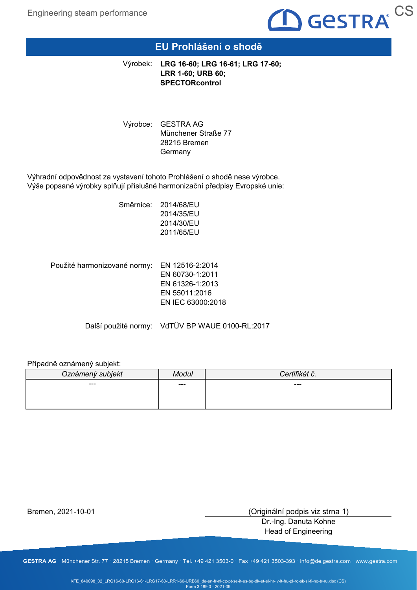

## **EU Prohlášení o shodě**

**LRG 16-60; LRG 16-61; LRG 17-60;** Výrobek: **LRR 1-60; URB 60; SPECTORcontrol**

Výrobce: GESTRA AG Münchener Straße 77 28215 Bremen **Germany** 

Výhradní odpovědnost za vystavení tohoto Prohlášení o shodě nese výrobce. Výše popsané výrobky splňují příslušné harmonizační předpisy Evropské unie:

> Směrnice: 2014/68/EU 2014/35/EU 2014/30/EU 2011/65/EU

Použité harmonizované normy: EN 12516-2:2014 EN 60730-1:2011 EN 61326-1:2013 EN 55011:2016 EN IEC 63000:2018

Další použité normy: VdTÜV BP WAUE 0100-RL:2017

### Případně oznámený subjekt:

| Oznámený subjekt | Aodul | $\overline{\phantom{a}}$<br>$\sim$ . |
|------------------|-------|--------------------------------------|
| ---              | ---   | ---                                  |
|                  |       |                                      |
|                  |       |                                      |

Bremen, 2021-10-01

(Originální podpis viz strna 1)

Dr.-Ing. Danuta Kohne Head of Engineering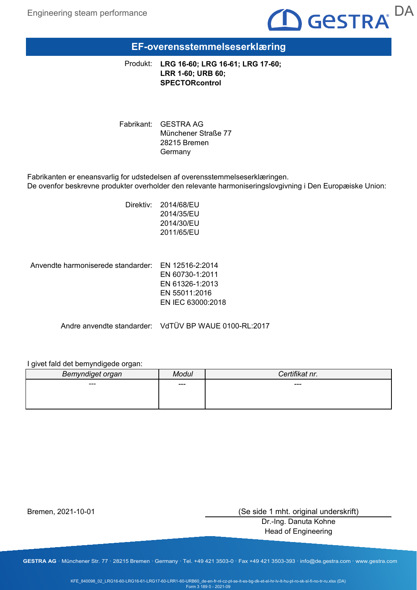

# **EF-overensstemmelseserklæring**

**LRG 16-60; LRG 16-61; LRG 17-60;** Produkt: **LRR 1-60; URB 60; SPECTORcontrol**

Fabrikant: GESTRA AG Münchener Straße 77 28215 Bremen Germany

Fabrikanten er eneansvarlig for udstedelsen af overensstemmelseserklæringen. De ovenfor beskrevne produkter overholder den relevante harmoniseringslovgivning i Den Europæiske Union:

> Direktiv: 2014/68/EU 2014/35/EU 2014/30/EU 2011/65/EU

Anvendte harmoniserede standarder: EN 12516-2:2014

EN 60730-1:2011 EN 61326-1:2013 EN 55011:2016 EN IEC 63000:2018

Andre anvendte standarder: VdTÜV BP WAUE 0100-RL:2017

I givet fald det bemyndigede organ:

| Bemyndiget organ | Modul | Certifikat nr. |
|------------------|-------|----------------|
| ---              | ---   | ---            |
|                  |       |                |
|                  |       |                |

Bremen, 2021-10-01

(Se side 1 mht. original underskrift)

Dr.-Ing. Danuta Kohne Head of Engineering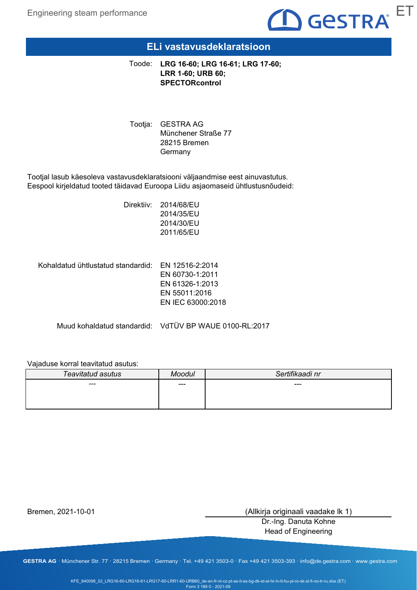

### **ELi vastavusdeklaratsioon**

**LRG 16-60; LRG 16-61; LRG 17-60;** Toode: **LRR 1-60; URB 60; SPECTORcontrol**

Tootja: GESTRA AG Münchener Straße 77 28215 Bremen **Germany** 

Tootjal lasub käesoleva vastavusdeklaratsiooni väljaandmise eest ainuvastutus. Eespool kirjeldatud tooted täidavad Euroopa Liidu asjaomaseid ühtlustusnõudeid:

> Direktiiv: 2014/68/EU 2014/35/EU 2014/30/EU 2011/65/EU

Kohaldatud ühtlustatud standardid:  $\,$  EN 12516-2:2014

EN 60730-1:2011 EN 61326-1:2013 EN 55011:2016 EN IEC 63000:2018

Muud kohaldatud standardid: VdTÜV BP WAUE 0100-RL:2017

### Vajaduse korral teavitatud asutus:

| Teavitatud asutus | Moodul | Sertifikaadi nr |
|-------------------|--------|-----------------|
| ---               | ---    | ---             |
|                   |        |                 |
|                   |        |                 |

Bremen, 2021-10-01

(Allkirja originaali vaadake lk 1)

Dr.-Ing. Danuta Kohne Head of Engineering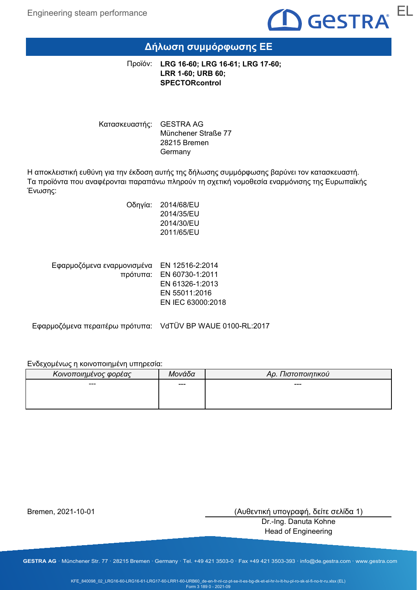

## **Δήλωση συμμόρφωσης ΕΕ**

**LRG 16-60; LRG 16-61; LRG 17-60;** Προϊόν: **LRR 1-60; URB 60; SPECTORcontrol**

Κατασκευαστής: GESTRA AG Münchener Straße 77 28215 Bremen Germany

Η αποκλειστική ευθύνη για την έκδοση αυτής της δήλωσης συμμόρφωσης βαρύνει τον κατασκευαστή. Τα προϊόντα που αναφέρονται παραπάνω πληρούν τη σχετική νομοθεσία εναρμόνισης της Ευρωπαϊκής Ένωσης:

> Οδηγία: 2014/68/EU 2014/35/EU 2014/30/EU 2011/65/EU

| Εφαρμοζόμενα εναρμονισμένα ΕΝ 12516-2:2014 |
|--------------------------------------------|
| πρότυπα: EN 60730-1:2011                   |
| EN 61326-1:2013                            |
| EN 55011:2016                              |
| EN IEC 63000:2018                          |
|                                            |

Εφαρμοζόμενα περαιτέρω πρότυπα: VdTÜV BP WAUE 0100-RL:2017

### Ενδεχομένως η κοινοποιημένη υπηρεσία:

| Κοινοποιημένος φορέας | Μονάδα | Αρ. Πιστοποιητικού |
|-----------------------|--------|--------------------|
| ---                   | ---    | ---                |
|                       |        |                    |
|                       |        |                    |

Bremen, 2021-10-01

(Αυθεντική υπογραφή, δείτε σελίδα 1)

Dr.-Ing. Danuta Kohne Head of Engineering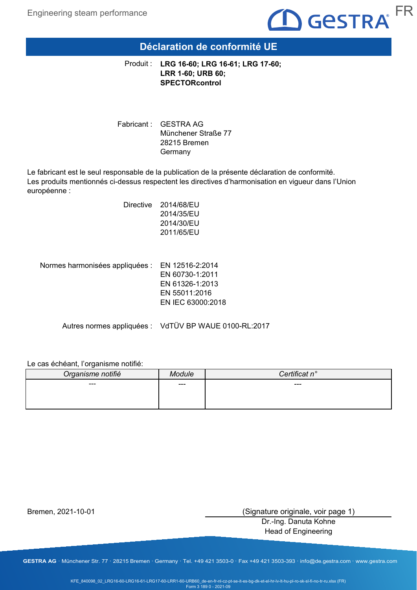

## **Déclaration de conformité UE**

**LRG 16-60; LRG 16-61; LRG 17-60;** Produit : **LRR 1-60; URB 60; SPECTORcontrol**

Fabricant : GESTRA AG Münchener Straße 77 28215 Bremen Germany

Le fabricant est le seul responsable de la publication de la présente déclaration de conformité. Les produits mentionnés ci-dessus respectent les directives d'harmonisation en vigueur dans l'Union européenne :

> Directive 2014/68/EU 2014/35/EU 2014/30/EU 2011/65/EU

Normes harmonisées appliquées : EN 12516-2:2014 EN 60730-1:2011 EN 61326-1:2013 EN 55011:2016 EN IEC 63000:2018

Autres normes appliquées : VdTÜV BP WAUE 0100-RL:2017

### Le cas échéant, l'organisme notifié:

| Organisme notifié | dule | rtificat n°<br>`on |
|-------------------|------|--------------------|
| ---               | ---  | $---$              |
|                   |      |                    |
|                   |      |                    |

Bremen, 2021-10-01

(Signature originale, voir page 1)

Dr.-Ing. Danuta Kohne Head of Engineering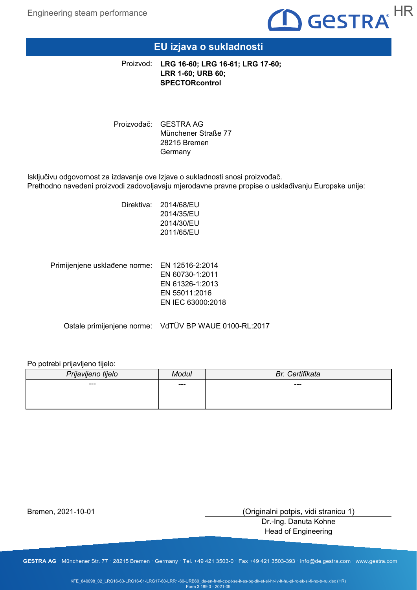

## **EU izjava o sukladnosti**

**LRG 16-60; LRG 16-61; LRG 17-60;** Proizvod: **LRR 1-60; URB 60; SPECTORcontrol**

Proizvođač: GESTRA AG Münchener Straße 77 28215 Bremen **Germany** 

Isključivu odgovornost za izdavanje ove Izjave o sukladnosti snosi proizvođač. Prethodno navedeni proizvodi zadovoljavaju mjerodavne pravne propise o usklađivanju Europske unije:

> Direktiva: 2014/68/EU 2014/35/EU 2014/30/EU 2011/65/EU

Primijenjene usklađene norme: EN 12516-2:2014 EN 60730-1:2011 EN 61326-1:2013 EN 55011:2016 EN IEC 63000:2018

Ostale primijenjene norme: VdTÜV BP WAUE 0100-RL:2017

### Po potrebi prijavljeno tijelo:

| Prijavljeno tijelo | <i><b>Aodul</b></i> | Certifikata<br>Br. |
|--------------------|---------------------|--------------------|
| $---$              | ---                 | ---                |
|                    |                     |                    |
|                    |                     |                    |

Bremen, 2021-10-01

(Originalni potpis, vidi stranicu 1)

Dr.-Ing. Danuta Kohne Head of Engineering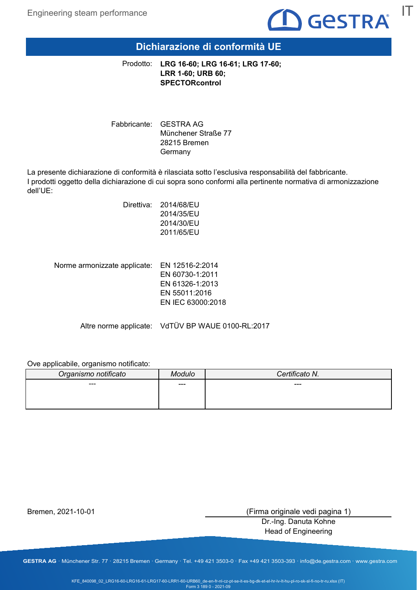

## **Dichiarazione di conformità UE**

**LRG 16-60; LRG 16-61; LRG 17-60;** Prodotto: **LRR 1-60; URB 60; SPECTORcontrol**

Fabbricante: GESTRA AG Münchener Straße 77 28215 Bremen Germany

La presente dichiarazione di conformità è rilasciata sotto l'esclusiva responsabilità del fabbricante. I prodotti oggetto della dichiarazione di cui sopra sono conformi alla pertinente normativa di armonizzazione dell'UE:

> Direttiva: 2014/68/EU 2014/35/EU 2014/30/EU 2011/65/EU

Norme armonizzate applicate: EN 12516-2:2014 EN 60730-1:2011 EN 61326-1:2013 EN 55011:2016 EN IEC 63000:2018

Altre norme applicate: VdTÜV BP WAUE 0100-RL:2017

Ove applicabile, organismo notificato:

| Organismo notificato | ົ`າ⊔∣o | Certificato N. |
|----------------------|--------|----------------|
| ---                  | $---$  | $---$          |
|                      |        |                |
|                      |        |                |

Bremen, 2021-10-01

(Firma originale vedi pagina 1)

Dr.-Ing. Danuta Kohne Head of Engineering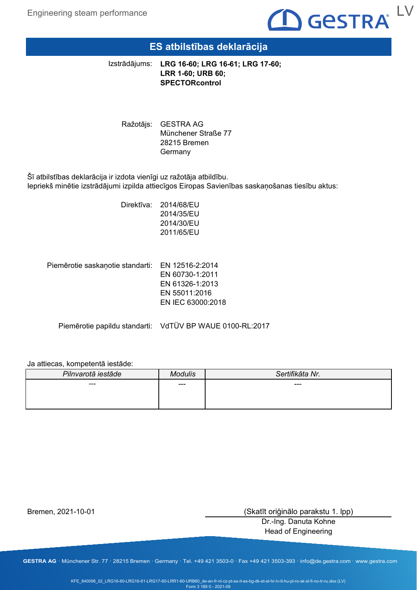

## **ES atbilstības deklarācija**

**LRG 16-60; LRG 16-61; LRG 17-60;** Izstrādājums: **LRR 1-60; URB 60; SPECTORcontrol**

Ražotājs: GESTRA AG Münchener Straße 77 28215 Bremen **Germany** 

Šī atbilstības deklarācija ir izdota vienīgi uz ražotāja atbildību. Iepriekš minētie izstrādājumi izpilda attiecīgos Eiropas Savienības saskaņošanas tiesību aktus:

> Direktīva: 2014/68/EU 2014/35/EU 2014/30/EU 2011/65/EU

Piemērotie saskaņotie standarti: EN 12516-2:2014 EN 60730-1:2011 EN 61326-1:2013

EN 55011:2016 EN IEC 63000:2018

Piemērotie papildu standarti: VdTÜV BP WAUE 0100-RL:2017

### Ja attiecas, kompetentā iestāde:

| Pilnvarotā iestāde | Modulis | Sertifikāta Nr. |
|--------------------|---------|-----------------|
| ---                | $---$   | ---             |
|                    |         |                 |
|                    |         |                 |

Bremen, 2021-10-01

(Skatīt oriģinālo parakstu 1. lpp)

Dr.-Ing. Danuta Kohne Head of Engineering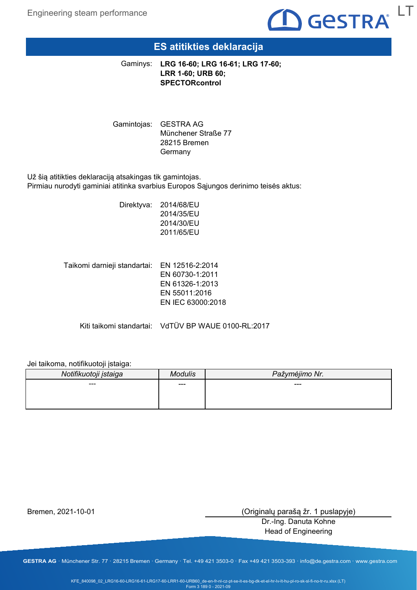

## **ES atitikties deklaracija**

**LRG 16-60; LRG 16-61; LRG 17-60;** Gaminys: **LRR 1-60; URB 60; SPECTORcontrol**

Gamintojas: GESTRA AG Münchener Straße 77 28215 Bremen **Germany** 

Už šią atitikties deklaraciją atsakingas tik gamintojas. Pirmiau nurodyti gaminiai atitinka svarbius Europos Sąjungos derinimo teisės aktus:

> Direktyva: 2014/68/EU 2014/35/EU 2014/30/EU 2011/65/EU

Taikomi darnieji standartai: EN 12516-2:2014 EN 60730-1:2011 EN 61326-1:2013 EN 55011:2016 EN IEC 63000:2018

Kiti taikomi standartai: VdTÜV BP WAUE 0100-RL:2017

### Jei taikoma, notifikuotoji įstaiga:

| Notifikuotoji įstaiga | Andulis | Pažymėjimo Nr. |
|-----------------------|---------|----------------|
| ---                   | ---     | ---            |
|                       |         |                |
|                       |         |                |

Bremen, 2021-10-01

(Originalų parašą žr. 1 puslapyje)

Dr.-Ing. Danuta Kohne Head of Engineering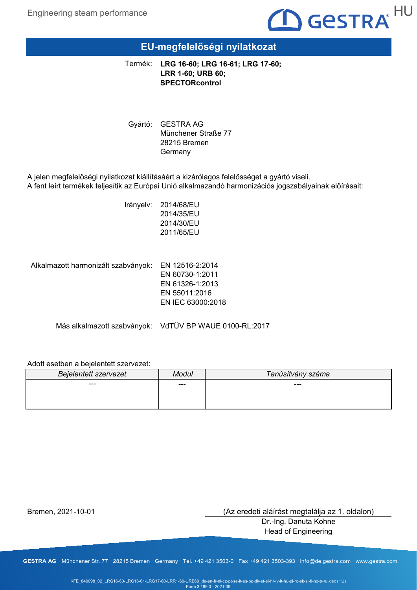

## **EU-megfelelőségi nyilatkozat**

**LRG 16-60; LRG 16-61; LRG 17-60;** Termék: **LRR 1-60; URB 60; SPECTORcontrol**

Gyártó: GESTRA AG Münchener Straße 77 28215 Bremen Germany

A jelen megfelelőségi nyilatkozat kiállításáért a kizárólagos felelősséget a gyártó viseli. A fent leírt termékek teljesítik az Európai Unió alkalmazandó harmonizációs jogszabályainak előírásait:

> Irányelv: 2014/68/EU 2014/35/EU 2014/30/EU 2011/65/EU

Alkalmazott harmonizált szabványok: EN 12516-2:2014

EN 60730-1:2011 EN 61326-1:2013 EN 55011:2016 EN IEC 63000:2018

Más alkalmazott szabványok: VdTÜV BP WAUE 0100-RL:2017

### Adott esetben a bejelentett szervezet:

| <b>Bejelentett szervezet</b> | Modul | Tanúsítvány száma |
|------------------------------|-------|-------------------|
| ---                          | ---   | ---               |
|                              |       |                   |
|                              |       |                   |

Bremen, 2021-10-01

(Az eredeti aláírást megtalálja az 1. oldalon)

Dr.-Ing. Danuta Kohne Head of Engineering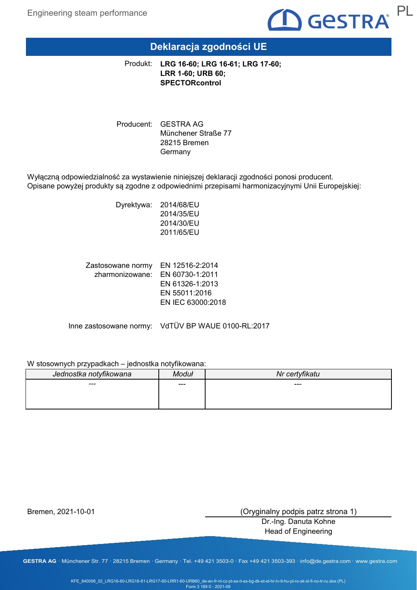

# **Deklaracja zgodności UE**

**LRG 16-60; LRG 16-61; LRG 17-60;** Produkt: **LRR 1-60; URB 60; SPECTORcontrol**

Producent: GESTRA AG Münchener Straße 77 28215 Bremen Germany

Wyłączną odpowiedzialność za wystawienie niniejszej deklaracji zgodności ponosi producent. Opisane powyżej produkty są zgodne z odpowiednimi przepisami harmonizacyjnymi Unii Europejskiej:

> Dyrektywa: 2014/68/EU 2014/35/EU 2014/30/EU 2011/65/EU

Zastosowane normy EN 12516-2:2014 zharmonizowane: EN 60730-1:2011 EN 61326-1:2013 EN 55011:2016 EN IEC 63000:2018

Inne zastosowane normy: VdTÜV BP WAUE 0100-RL:2017

### W stosownych przypadkach – jednostka notyfikowana:

| Jednostka notyfikowana | Moduł | Nr certyfikatu |
|------------------------|-------|----------------|
| ---                    | ---   | $---$          |
|                        |       |                |
|                        |       |                |

Bremen, 2021-10-01

(Oryginalny podpis patrz strona 1)

Dr.-Ing. Danuta Kohne Head of Engineering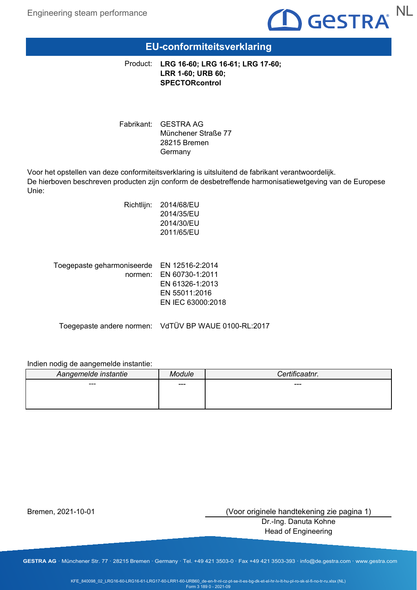

## **EU-conformiteitsverklaring**

**LRG 16-60; LRG 16-61; LRG 17-60;** Product: **LRR 1-60; URB 60; SPECTORcontrol**

Fabrikant: GESTRA AG Münchener Straße 77 28215 Bremen Germany

Voor het opstellen van deze conformiteitsverklaring is uitsluitend de fabrikant verantwoordelijk. De hierboven beschreven producten zijn conform de desbetreffende harmonisatiewetgeving van de Europese Unie:

| Richtlijn: | 2014/68/EU |
|------------|------------|
|            | 2014/35/EU |
|            | 2014/30/EU |
|            | 2011/65/EU |
|            |            |

| Toegepaste geharmoniseerde EN 12516-2:2014 |                         |
|--------------------------------------------|-------------------------|
|                                            | normen: EN 60730-1:2011 |
|                                            | EN 61326-1:2013         |
|                                            | EN 55011:2016           |
|                                            | EN IEC 63000:2018       |
|                                            |                         |

Toegepaste andere normen: VdTÜV BP WAUE 0100-RL:2017

### Indien nodig de aangemelde instantie:

| Aangemelde instantie | Aodule | Certificaatnr. |
|----------------------|--------|----------------|
| ---                  | ---    | ---            |
|                      |        |                |
|                      |        |                |

Bremen, 2021-10-01

(Voor originele handtekening zie pagina 1)

Dr.-Ing. Danuta Kohne Head of Engineering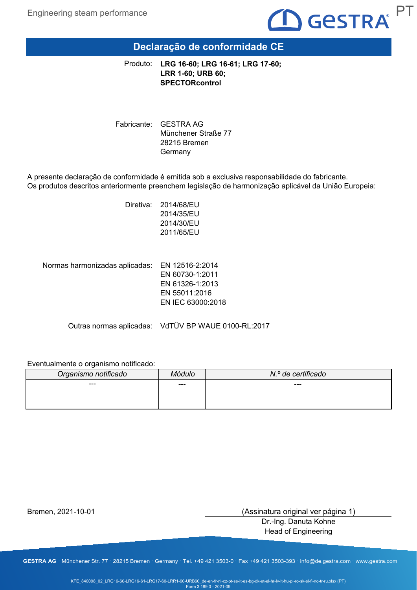

# **Declaração de conformidade CE**

**LRG 16-60; LRG 16-61; LRG 17-60;** Produto: **LRR 1-60; URB 60; SPECTORcontrol**

Fabricante: GESTRA AG Münchener Straße 77 28215 Bremen Germany

A presente declaração de conformidade é emitida sob a exclusiva responsabilidade do fabricante. Os produtos descritos anteriormente preenchem legislação de harmonização aplicável da União Europeia:

> Diretiva: 2014/68/EU 2014/35/EU 2014/30/EU 2011/65/EU

EN 12516-2:2014 Normas harmonizadas aplicadas:

EN 60730-1:2011 EN 61326-1:2013 EN 55011:2016 EN IEC 63000:2018

Outras normas aplicadas: VdTÜV BP WAUE 0100-RL:2017

### Eventualmente o organismo notificado:

| Organismo notificado | Aódulo | N.º de certificado |
|----------------------|--------|--------------------|
| ---                  | ---    | $---$              |
|                      |        |                    |
|                      |        |                    |

Bremen, 2021-10-01

(Assinatura original ver página 1)

Dr.-Ing. Danuta Kohne Head of Engineering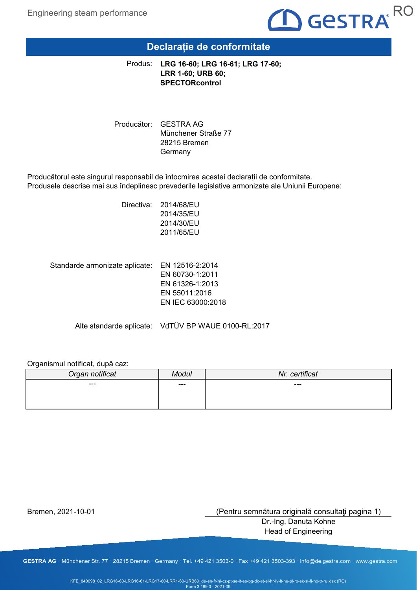

## **Declarație de conformitate**

**LRG 16-60; LRG 16-61; LRG 17-60;** Produs: **LRR 1-60; URB 60; SPECTORcontrol**

Producător: GESTRA AG Münchener Straße 77 28215 Bremen Germany

Producătorul este singurul responsabil de întocmirea acestei declarații de conformitate. Produsele descrise mai sus îndeplinesc prevederile legislative armonizate ale Uniunii Europene:

> Directiva: 2014/68/EU 2014/35/EU 2014/30/EU 2011/65/EU

Standarde armonizate aplicate: EN 12516-2:2014 EN 60730-1:2011 EN 61326-1:2013 EN 55011:2016 EN IEC 63000:2018

Alte standarde aplicate: VdTÜV BP WAUE 0100-RL:2017

### Organismul notificat, după caz:

| Organ notificat | Modul | Nr. certificat |
|-----------------|-------|----------------|
| ---             | $---$ | ---            |
|                 |       |                |
|                 |       |                |

Bremen, 2021-10-01

(Pentru semnătura originală consultaţi pagina 1)

Dr.-Ing. Danuta Kohne Head of Engineering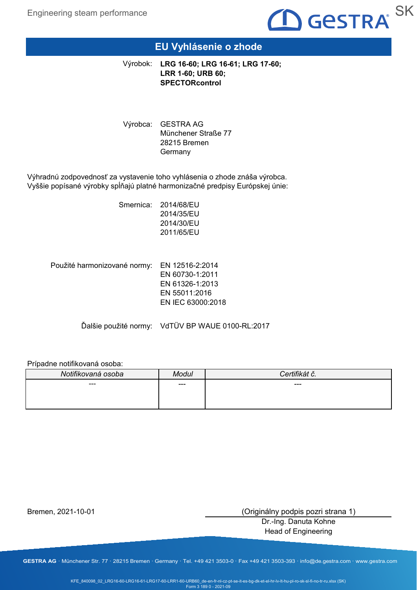

## **EU Vyhlásenie o zhode**

**LRG 16-60; LRG 16-61; LRG 17-60;** Výrobok: **LRR 1-60; URB 60; SPECTORcontrol**

Výrobca: GESTRA AG Münchener Straße 77 28215 Bremen **Germany** 

Výhradnú zodpovednosť za vystavenie toho vyhlásenia o zhode znáša výrobca. Vyššie popísané výrobky spĺňajú platné harmonizačné predpisy Európskej únie:

> Smernica: 2014/68/EU 2014/35/EU 2014/30/EU 2011/65/EU

Použité harmonizované normy: EN 12516-2:2014 EN 60730-1:2011 EN 61326-1:2013 EN 55011:2016 EN IEC 63000:2018

Ďalšie použité normy: VdTÜV BP WAUE 0100-RL:2017

### Prípadne notifikovaná osoba:

| Notifikovaná osoba | lodul | $\mathbf{r}$ . $\mathbf{r}$<br>$\Delta$<br>U. |
|--------------------|-------|-----------------------------------------------|
| $--$               | ---   | $---$                                         |
|                    |       |                                               |
|                    |       |                                               |

Bremen, 2021-10-01

(Originálny podpis pozri strana 1)

Dr.-Ing. Danuta Kohne Head of Engineering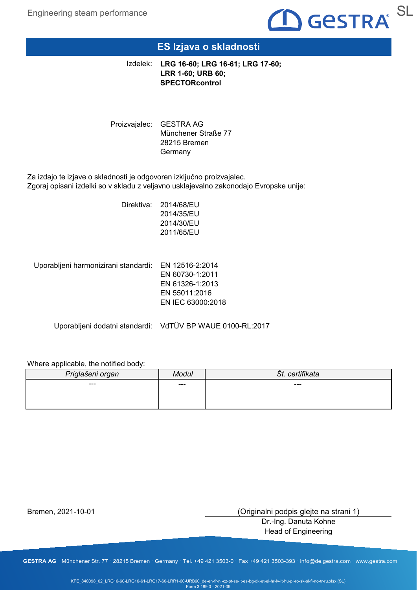

## **ES Izjava o skladnosti**

**LRG 16-60; LRG 16-61; LRG 17-60;** Izdelek: **LRR 1-60; URB 60; SPECTORcontrol**

Proizvajalec: GESTRA AG Münchener Straße 77 28215 Bremen Germany

Za izdajo te izjave o skladnosti je odgovoren izključno proizvajalec. Zgoraj opisani izdelki so v skladu z veljavno usklajevalno zakonodajo Evropske unije:

> Direktiva: 2014/68/EU 2014/35/EU 2014/30/EU 2011/65/EU

Uporabljeni harmonizirani standardi: EN 12516-2:2014

EN 60730-1:2011 EN 61326-1:2013 EN 55011:2016 EN IEC 63000:2018

Uporabljeni dodatni standardi: VdTÜV BP WAUE 0100-RL:2017

### Where applicable, the notified body:

| Priglašeni organ | Modul | certifikata<br>St. |
|------------------|-------|--------------------|
| $--$             | ---   | $---$              |
|                  |       |                    |
|                  |       |                    |

Bremen, 2021-10-01

(Originalni podpis glejte na strani 1)

Dr.-Ing. Danuta Kohne Head of Engineering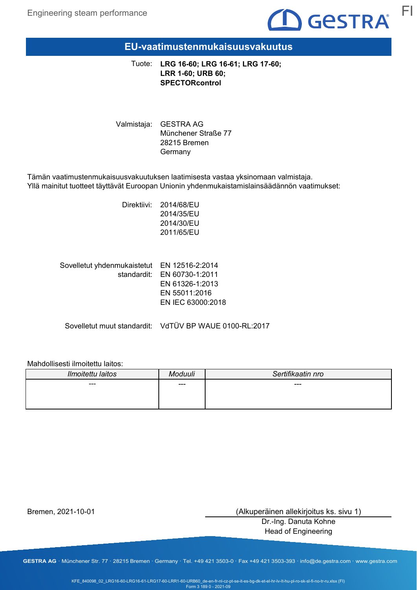

## **EU-vaatimustenmukaisuusvakuutus**

**LRG 16-60; LRG 16-61; LRG 17-60;** Tuote: **LRR 1-60; URB 60; SPECTORcontrol**

Valmistaja: GESTRA AG Münchener Straße 77 28215 Bremen Germany

Tämän vaatimustenmukaisuusvakuutuksen laatimisesta vastaa yksinomaan valmistaja. Yllä mainitut tuotteet täyttävät Euroopan Unionin yhdenmukaistamislainsäädännön vaatimukset:

> Direktiivi: 2014/68/EU 2014/35/EU 2014/30/EU 2011/65/EU

| Sovelletut yhdenmukaistetut EN 12516-2:2014 |                             |
|---------------------------------------------|-----------------------------|
|                                             | standardit: EN 60730-1:2011 |
|                                             | EN 61326-1:2013             |
|                                             | EN 55011:2016               |
|                                             | EN IEC 63000:2018           |
|                                             |                             |

Sovelletut muut standardit: VdTÜV BP WAUE 0100-RL:2017

### Mahdollisesti ilmoitettu laitos:

| Ilmoitettu laitos | Aoduuli | Sertifikaatin nro |
|-------------------|---------|-------------------|
| ---               | ---     | ---               |
|                   |         |                   |
|                   |         |                   |

Bremen, 2021-10-01

(Alkuperäinen allekirjoitus ks. sivu 1)

Dr.-Ing. Danuta Kohne Head of Engineering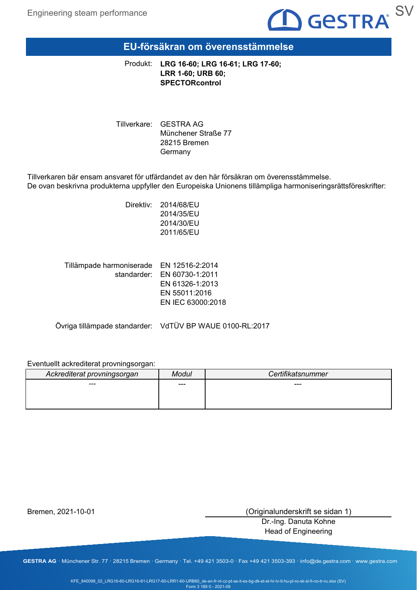

## **EU-försäkran om överensstämmelse**

**LRG 16-60; LRG 16-61; LRG 17-60;** Produkt: **LRR 1-60; URB 60; SPECTORcontrol**

Tillverkare: GESTRA AG Münchener Straße 77 28215 Bremen Germany

Tillverkaren bär ensam ansvaret för utfärdandet av den här försäkran om överensstämmelse. De ovan beskrivna produkterna uppfyller den Europeiska Unionens tillämpliga harmoniseringsrättsföreskrifter:

> Direktiv: 2014/68/EU 2014/35/EU 2014/30/EU 2011/65/EU

EN 12516-2:2014 Tillämpade harmoniserade standarder: EN 60730-1:2011 EN 61326-1:2013 EN 55011:2016 EN IEC 63000:2018

Övriga tillämpade standarder: VdTÜV BP WAUE 0100-RL:2017

### Eventuellt ackrediterat provningsorgan:

| Ackrediterat provningsorgan | Modui | <b>Certifikatsnummer</b> |
|-----------------------------|-------|--------------------------|
| ---                         | ---   | ---                      |
|                             |       |                          |
|                             |       |                          |

Bremen, 2021-10-01

(Originalunderskrift se sidan 1)

Dr.-Ing. Danuta Kohne Head of Engineering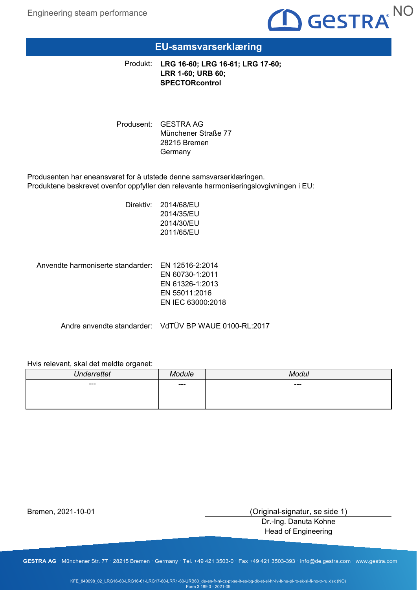

## **EU-samsvarserklæring**

**LRG 16-60; LRG 16-61; LRG 17-60;** Produkt: **LRR 1-60; URB 60; SPECTORcontrol**

Produsent: GESTRA AG Münchener Straße 77 28215 Bremen **Germany** 

Produsenten har eneansvaret for å utstede denne samsvarserklæringen. Produktene beskrevet ovenfor oppfyller den relevante harmoniseringslovgivningen i EU:

> Direktiv: 2014/68/EU 2014/35/EU 2014/30/EU 2011/65/EU

Anvendte harmoniserte standarder: EN 12516-2:2014

EN 60730-1:2011 EN 61326-1:2013 EN 55011:2016 EN IEC 63000:2018

Andre anvendte standarder: VdTÜV BP WAUE 0100-RL:2017

### Hvis relevant, skal det meldte organet:

| <b>Underrettet</b>       | odula<br>" | 100<br>انتله      |
|--------------------------|------------|-------------------|
| $\hspace{0.05cm} \cdots$ | $---$      | $\qquad \qquad -$ |
|                          |            |                   |
|                          |            |                   |

Bremen, 2021-10-01

(Original-signatur, se side 1)

Dr.-Ing. Danuta Kohne Head of Engineering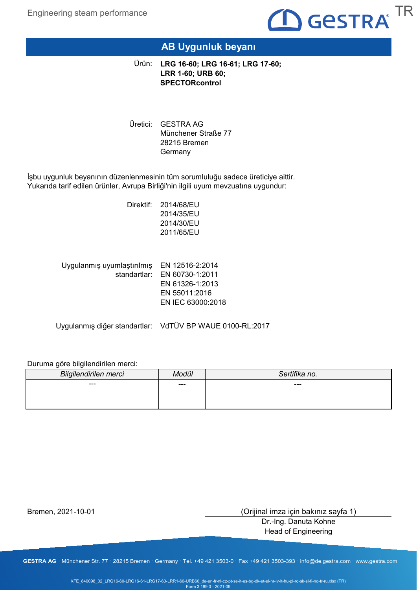

## **AB Uygunluk beyanı**

**LRG 16-60; LRG 16-61; LRG 17-60;** Ürün: **LRR 1-60; URB 60; SPECTORcontrol**

Uretici: GESTRA AG Münchener Straße 77 28215 Bremen **Germany** 

İşbu uygunluk beyanının düzenlenmesinin tüm sorumluluğu sadece üreticiye aittir. Yukarıda tarif edilen ürünler, Avrupa Birliği'nin ilgili uyum mevzuatına uygundur:

> Direktif: 2014/68/EU 2014/35/EU 2014/30/EU 2011/65/EU

| Uygulanmış uyumlaştırılmış EN 12516-2:2014 |                              |
|--------------------------------------------|------------------------------|
|                                            | standartlar: EN 60730-1:2011 |
|                                            | EN 61326-1:2013              |
|                                            | EN 55011:2016                |
|                                            | EN IEC 63000:2018            |
|                                            |                              |

Uygulanmış diğer standartlar: VdTÜV BP WAUE 0100-RL:2017

### Duruma göre bilgilendirilen merci:

| <b>Bilgilendirilen merci</b> | lodül | Sertifika no. |
|------------------------------|-------|---------------|
| ---                          | ---   | ---           |
|                              |       |               |
|                              |       |               |

Bremen, 2021-10-01

(Orijinal imza için bakınız sayfa 1)

Dr.-Ing. Danuta Kohne Head of Engineering